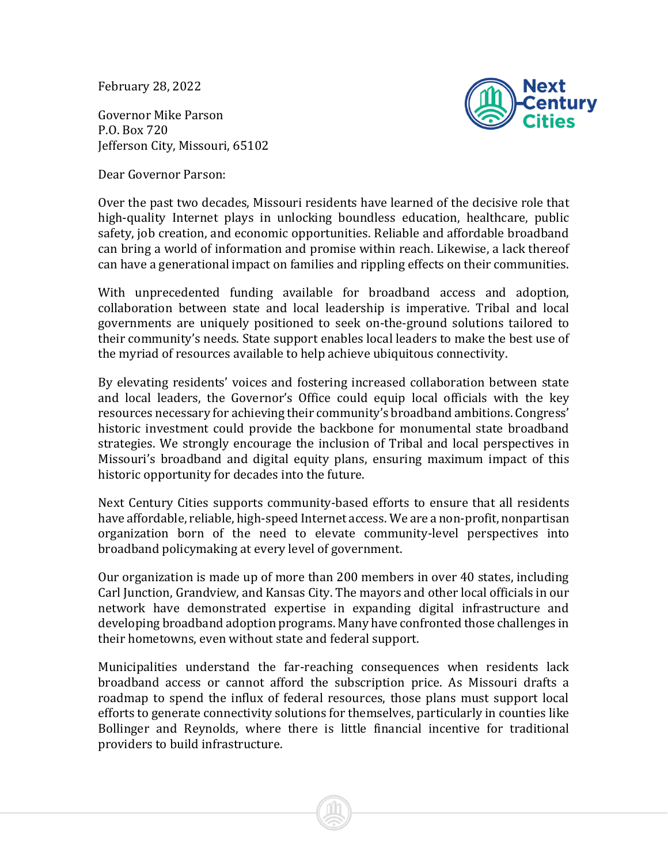February 28, 2022

Governor Mike Parson P.O. Box 720 Jefferson City, Missouri, 65102 Next enturv

Dear Governor Parson:

Over the past two decades, Missouri residents have learned of the decisive role that high-quality Internet plays in unlocking boundless education, healthcare, public safety, job creation, and economic opportunities. Reliable and affordable broadband can bring a world of information and promise within reach. Likewise, a lack thereof can have a generational impact on families and rippling effects on their communities.

With unprecedented funding available for broadband access and adoption, collaboration between state and local leadership is imperative. Tribal and local governments are uniquely positioned to seek on-the-ground solutions tailored to their community's needs. State support enables local leaders to make the best use of the myriad of resources available to help achieve ubiquitous connectivity.

By elevating residents' voices and fostering increased collaboration between state and local leaders, the Governor's Office could equip local officials with the key resources necessary for achieving their community's broadband ambitions. Congress' historic investment could provide the backbone for monumental state broadband strategies. We strongly encourage the inclusion of Tribal and local perspectives in Missouri's broadband and digital equity plans, ensuring maximum impact of this historic opportunity for decades into the future.

Next Century Cities supports community-based efforts to ensure that all residents have affordable, reliable, high-speed Internet access. We are a non-profit, nonpartisan organization born of the need to elevate community-level perspectives into broadband policymaking at every level of government.

Our organization is made up of more than 200 members in over 40 states, including Carl Junction, Grandview, and Kansas City. The mayors and other local officials in our network have demonstrated expertise in expanding digital infrastructure and developing broadband adoption programs. Many have confronted those challenges in their hometowns, even without state and federal support.

Municipalities understand the far-reaching consequences when residents lack broadband access or cannot afford the subscription price. As Missouri drafts a roadmap to spend the influx of federal resources, those plans must support local efforts to generate connectivity solutions for themselves, particularly in counties like Bollinger and Reynolds, where there is little financial incentive for traditional providers to build infrastructure.